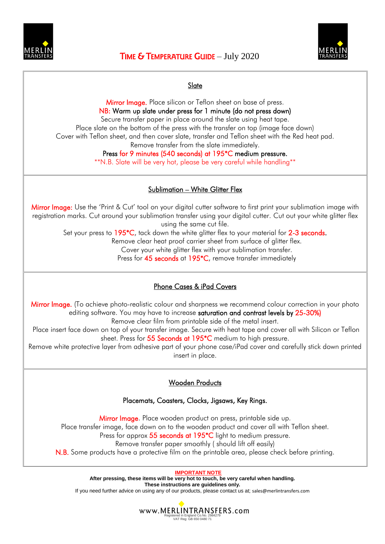



## Slate

Mirror Image. Place silicon or Teflon sheet on base of press. NB: Warm up slate under press for 1 minute (do not press down) Secure transfer paper in place around the slate using heat tape. Place slate on the bottom of the press with the transfer on top (image face down) Cover with Teflon sheet, and then cover slate, transfer and Teflon sheet with the Red heat pad. Remove transfer from the slate immediately.

## Press for 9 minutes (540 seconds) at 195\*C medium pressure.

\*\*N.B. Slate will be very hot, please be very careful while handling\*\*

## Sublimation – White Glitter Flex

Mirror Image: Use the 'Print & Cut' tool on your digital cutter software to first print your sublimation image with registration marks. Cut around your sublimation transfer using your digital cutter. Cut out your white glitter flex using the same cut file.

Set your press to 195<sup>\*</sup>C, tack down the white glitter flex to your material for 2-3 seconds.

Remove clear heat proof carrier sheet from surface of glitter flex.

Cover your white glitter flex with your sublimation transfer.

Press for 45 seconds at 195<sup>\*</sup>C, remove transfer immediately

#### Phone Cases & iPad Covers

Mirror Image. (To achieve photo-realistic colour and sharpness we recommend colour correction in your photo editing software. You may have to increase saturation and contrast levels by 25-30%)

Remove clear film from printable side of the metal insert.

Place insert face down on top of your transfer image. Secure with heat tape and cover all with Silicon or Teflon sheet. Press for 55 Seconds at 195<sup>\*</sup>C medium to high pressure.

Remove white protective layer from adhesive part of your phone case/iPad cover and carefully stick down printed insert in place.

#### Wooden Products

#### Placemats, Coasters, Clocks, Jigsaws, Key Rings.

Mirror Image. Place wooden product on press, printable side up. Place transfer image, face down on to the wooden product and cover all with Teflon sheet. Press for approx 55 seconds at 195<sup>\*</sup>C light to medium pressure. Remove transfer paper smoothly ( should lift off easily) N.B. Some products have a protective film on the printable area, please check before printing.

**IMPORTANT NOTE** After pressing, these items will be very hot to touch, be very careful when handling. **These instructions are guidelines only.** 

If you need further advice on using any of our products, please contact us at; sales@merlintransfers.com

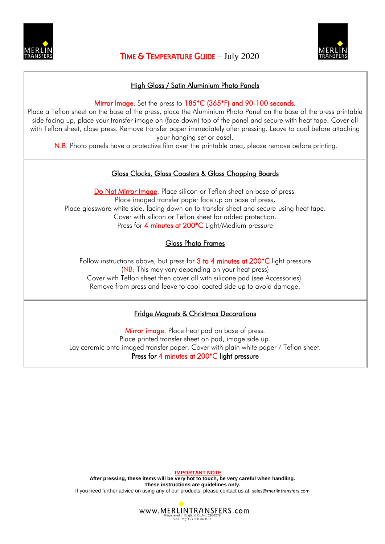



### High Gloss / Satin Aluminium Photo Panels

Mirror Image. Set the press to 185<sup>\*</sup>C (365<sup>\*</sup>F) and 90-100 seconds.

Place a Teflon sheet on the base of the press, place the Aluminium Photo Panel on the base of the press printable side facing up, place your transfer image on (face down) top of the panel and secure with heat tape. Cover all with Teflon sheet, close press. Remove transfer paper immediately after pressing. Leave to cool before attaching your hanging set or easel.

N.B. Photo panels have a protective film over the printable area, please remove before printing.

#### Glass Clocks, Glass Coasters & Glass Chopping Boards

Do Not Mirror Image. Place silicon or Teflon sheet on base of press. Place imaged transfer paper face up on base of press, Place glassware white side, facing down on to transfer sheet and secure using heat tape. Cover with silicon or Teflon sheet for added protection. Press for 4 minutes at 200<sup>\*</sup>C Light/Medium pressure

## Glass Photo Frames

Follow instructions above, but press for  $3$  to 4 minutes at  $200^*C$  light pressure (NB: This may vary depending on your heat press) Cover with Teflon sheet then cover all with silicone pad (see Accessories). Remove from press and leave to cool coated side up to avoid damage.

#### Fridge Magnets & Christmas Decorations

Mirror image. Place heat pad on base of press. Place printed transfer sheet on pad, image side up. Lay ceramic onto imaged transfer paper. Cover with plain white paper / Teflon sheet. Press for 4 minutes at 200\*C light pressure

**IMPORTANT NOTE**  After pressing, these items will be very hot to touch, be very careful when handling. **These instructions are guidelines only.**  If you need further advice on using any of our products, please contact us at; sales@merlintransfers.com